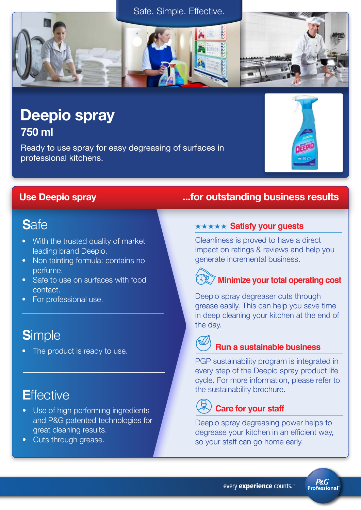# Safe. Simple. Effective.



Ready to use spray for easy degreasing of surfaces in professional kitchens.

# **S**afe

- With the trusted quality of market leading brand Deepio.
- Non tainting formula: contains no perfume.
- Safe to use on surfaces with food contact.
- For professional use.

# **S**imple

The product is ready to use.

# **E**ffective

- Use of high performing ingredients and P&G patented technologies for great cleaning results.
- Cuts through grease.

# Use Deepio spray ...for outstanding business results

## **\*\*\*\*\* Satisfy your guests**

Cleanliness is proved to have a direct impact on ratings & reviews and help you generate incremental business.

# **Minimize your total operating cost <sup>100</sup>**

Deepio spray degreaser cuts through grease easily. This can help you save time in deep cleaning your kitchen at the end of the day.

## **Run a sustainable business**

PGP sustainability program is integrated in every step of the Deepio spray product life cycle. For more information, please refer to the sustainability brochure.

# **Care for your staff**

Deepio spray degreasing power helps to degrease your kitchen in an efficient way, so your staff can go home early.

**P&G Professional**